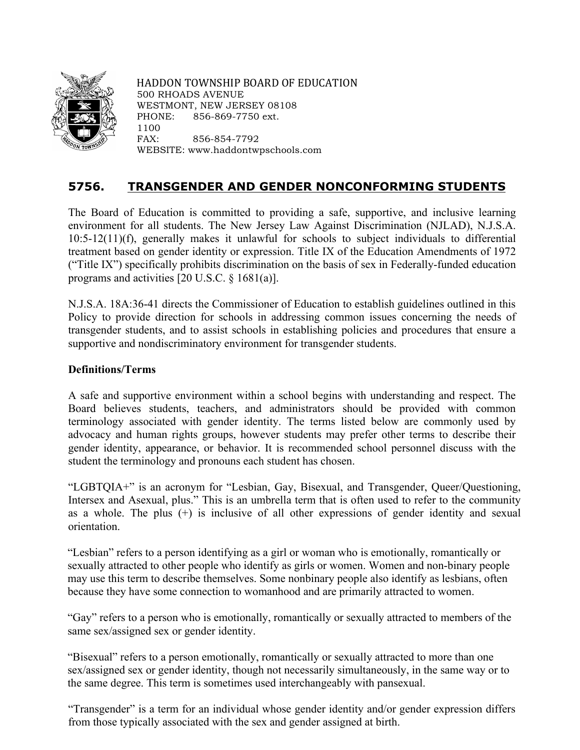

HADDON TOWNSHIP BOARD OF EDUCATION 500 RHOADS AVENUE WESTMONT, NEW JERSEY 08108 PHONE: 856-869-7750 ext. 1100 FAX: 856-854-7792 WEBSITE: www.haddontwpschools.com

# **5756. TRANSGENDER AND GENDER NONCONFORMING STUDENTS**

The Board of Education is committed to providing a safe, supportive, and inclusive learning environment for all students. The New Jersey Law Against Discrimination (NJLAD), N.J.S.A. 10:5-12(11)(f), generally makes it unlawful for schools to subject individuals to differential treatment based on gender identity or expression. Title IX of the Education Amendments of 1972 ("Title IX") specifically prohibits discrimination on the basis of sex in Federally-funded education programs and activities [20 U.S.C. § 1681(a)].

N.J.S.A. 18A:36-41 directs the Commissioner of Education to establish guidelines outlined in this Policy to provide direction for schools in addressing common issues concerning the needs of transgender students, and to assist schools in establishing policies and procedures that ensure a supportive and nondiscriminatory environment for transgender students.

# **Definitions/Terms**

A safe and supportive environment within a school begins with understanding and respect. The Board believes students, teachers, and administrators should be provided with common terminology associated with gender identity. The terms listed below are commonly used by advocacy and human rights groups, however students may prefer other terms to describe their gender identity, appearance, or behavior. It is recommended school personnel discuss with the student the terminology and pronouns each student has chosen.

"LGBTQIA+" is an acronym for "Lesbian, Gay, Bisexual, and Transgender, Queer/Questioning, Intersex and Asexual, plus." This is an umbrella term that is often used to refer to the community as a whole. The plus (+) is inclusive of all other expressions of gender identity and sexual orientation.

"Lesbian" refers to a person identifying as a girl or woman who is emotionally, romantically or sexually attracted to other people who identify as girls or women. Women and non-binary people may use this term to describe themselves. Some nonbinary people also identify as lesbians, often because they have some connection to womanhood and are primarily attracted to women.

"Gay" refers to a person who is emotionally, romantically or sexually attracted to members of the same sex/assigned sex or gender identity.

"Bisexual" refers to a person emotionally, romantically or sexually attracted to more than one sex/assigned sex or gender identity, though not necessarily simultaneously, in the same way or to the same degree. This term is sometimes used interchangeably with pansexual.

"Transgender" is a term for an individual whose gender identity and/or gender expression differs from those typically associated with the sex and gender assigned at birth.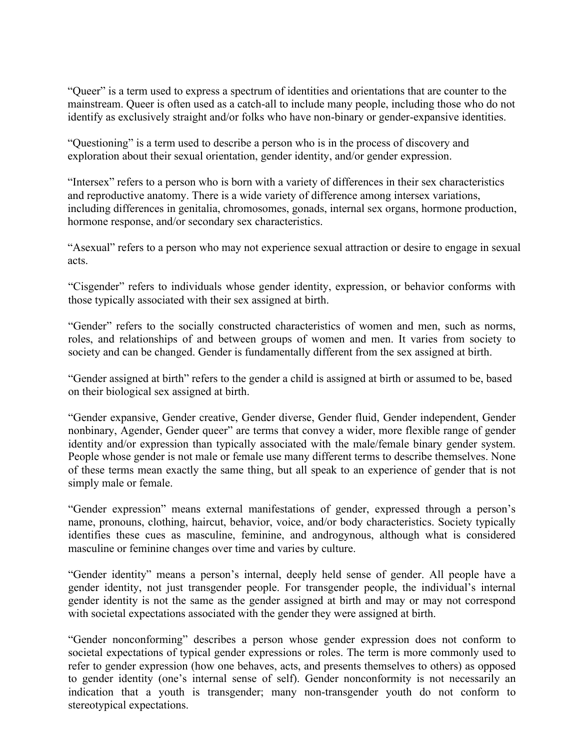"Queer" is a term used to express a spectrum of identities and orientations that are counter to the mainstream. Queer is often used as a catch-all to include many people, including those who do not identify as exclusively straight and/or folks who have non-binary or gender-expansive identities.

"Questioning" is a term used to describe a person who is in the process of discovery and exploration about their sexual orientation, gender identity, and/or gender expression.

"Intersex" refers to a person who is born with a variety of differences in their sex characteristics and reproductive anatomy. There is a wide variety of difference among intersex variations, including differences in genitalia, chromosomes, gonads, internal sex organs, hormone production, hormone response, and/or secondary sex characteristics.

"Asexual" refers to a person who may not experience sexual attraction or desire to engage in sexual acts.

"Cisgender" refers to individuals whose gender identity, expression, or behavior conforms with those typically associated with their sex assigned at birth.

"Gender" refers to the socially constructed characteristics of women and men, such as norms, roles, and relationships of and between groups of women and men. It varies from society to society and can be changed. Gender is fundamentally different from the sex assigned at birth.

"Gender assigned at birth" refers to the gender a child is assigned at birth or assumed to be, based on their biological sex assigned at birth.

"Gender expansive, Gender creative, Gender diverse, Gender fluid, Gender independent, Gender nonbinary, Agender, Gender queer" are terms that convey a wider, more flexible range of gender identity and/or expression than typically associated with the male/female binary gender system. People whose gender is not male or female use many different terms to describe themselves. None of these terms mean exactly the same thing, but all speak to an experience of gender that is not simply male or female.

"Gender expression" means external manifestations of gender, expressed through a person's name, pronouns, clothing, haircut, behavior, voice, and/or body characteristics. Society typically identifies these cues as masculine, feminine, and androgynous, although what is considered masculine or feminine changes over time and varies by culture.

"Gender identity" means a person's internal, deeply held sense of gender. All people have a gender identity, not just transgender people. For transgender people, the individual's internal gender identity is not the same as the gender assigned at birth and may or may not correspond with societal expectations associated with the gender they were assigned at birth.

"Gender nonconforming" describes a person whose gender expression does not conform to societal expectations of typical gender expressions or roles. The term is more commonly used to refer to gender expression (how one behaves, acts, and presents themselves to others) as opposed to gender identity (one's internal sense of self). Gender nonconformity is not necessarily an indication that a youth is transgender; many non-transgender youth do not conform to stereotypical expectations.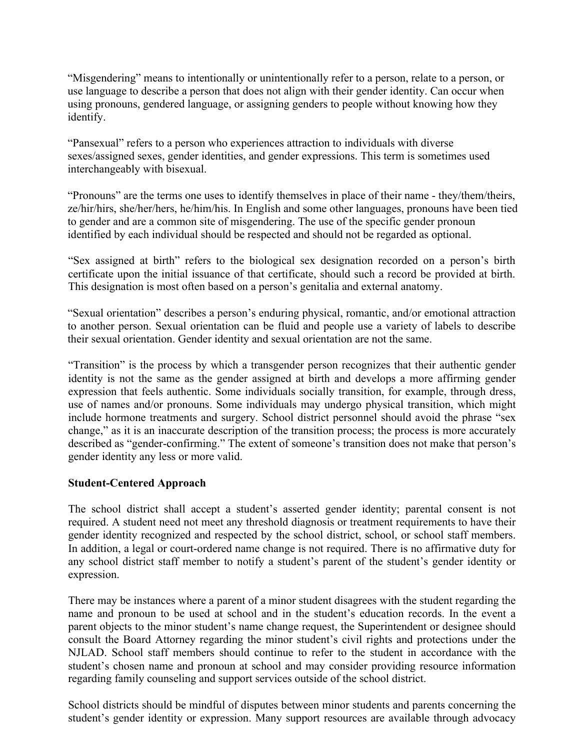"Misgendering" means to intentionally or unintentionally refer to a person, relate to a person, or use language to describe a person that does not align with their gender identity. Can occur when using pronouns, gendered language, or assigning genders to people without knowing how they identify.

"Pansexual" refers to a person who experiences attraction to individuals with diverse sexes/assigned sexes, gender identities, and gender expressions. This term is sometimes used interchangeably with bisexual.

"Pronouns" are the terms one uses to identify themselves in place of their name - they/them/theirs, ze/hir/hirs, she/her/hers, he/him/his. In English and some other languages, pronouns have been tied to gender and are a common site of misgendering. The use of the specific gender pronoun identified by each individual should be respected and should not be regarded as optional.

"Sex assigned at birth" refers to the biological sex designation recorded on a person's birth certificate upon the initial issuance of that certificate, should such a record be provided at birth. This designation is most often based on a person's genitalia and external anatomy.

"Sexual orientation" describes a person's enduring physical, romantic, and/or emotional attraction to another person. Sexual orientation can be fluid and people use a variety of labels to describe their sexual orientation. Gender identity and sexual orientation are not the same.

"Transition" is the process by which a transgender person recognizes that their authentic gender identity is not the same as the gender assigned at birth and develops a more affirming gender expression that feels authentic. Some individuals socially transition, for example, through dress, use of names and/or pronouns. Some individuals may undergo physical transition, which might include hormone treatments and surgery. School district personnel should avoid the phrase "sex change," as it is an inaccurate description of the transition process; the process is more accurately described as "gender-confirming." The extent of someone's transition does not make that person's gender identity any less or more valid.

## **Student-Centered Approach**

The school district shall accept a student's asserted gender identity; parental consent is not required. A student need not meet any threshold diagnosis or treatment requirements to have their gender identity recognized and respected by the school district, school, or school staff members. In addition, a legal or court-ordered name change is not required. There is no affirmative duty for any school district staff member to notify a student's parent of the student's gender identity or expression.

There may be instances where a parent of a minor student disagrees with the student regarding the name and pronoun to be used at school and in the student's education records. In the event a parent objects to the minor student's name change request, the Superintendent or designee should consult the Board Attorney regarding the minor student's civil rights and protections under the NJLAD. School staff members should continue to refer to the student in accordance with the student's chosen name and pronoun at school and may consider providing resource information regarding family counseling and support services outside of the school district.

School districts should be mindful of disputes between minor students and parents concerning the student's gender identity or expression. Many support resources are available through advocacy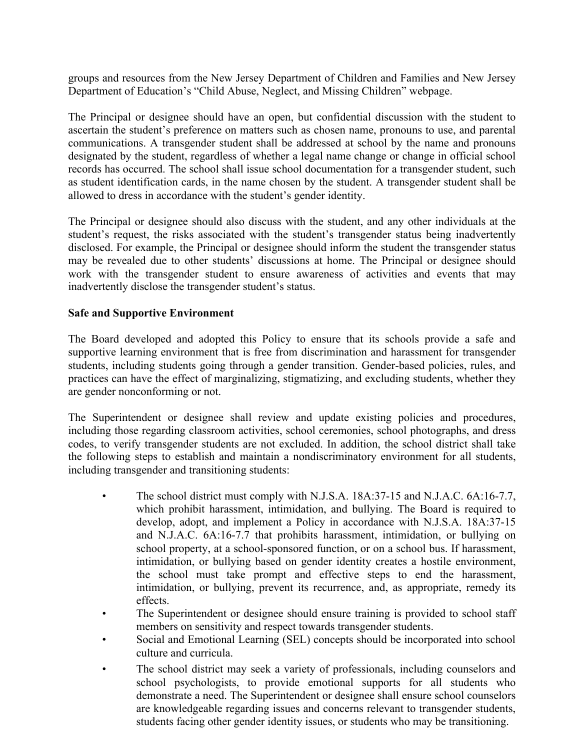groups and resources from the New Jersey Department of Children and Families and New Jersey Department of Education's "Child Abuse, Neglect, and Missing Children" webpage.

The Principal or designee should have an open, but confidential discussion with the student to ascertain the student's preference on matters such as chosen name, pronouns to use, and parental communications. A transgender student shall be addressed at school by the name and pronouns designated by the student, regardless of whether a legal name change or change in official school records has occurred. The school shall issue school documentation for a transgender student, such as student identification cards, in the name chosen by the student. A transgender student shall be allowed to dress in accordance with the student's gender identity.

The Principal or designee should also discuss with the student, and any other individuals at the student's request, the risks associated with the student's transgender status being inadvertently disclosed. For example, the Principal or designee should inform the student the transgender status may be revealed due to other students' discussions at home. The Principal or designee should work with the transgender student to ensure awareness of activities and events that may inadvertently disclose the transgender student's status.

#### **Safe and Supportive Environment**

The Board developed and adopted this Policy to ensure that its schools provide a safe and supportive learning environment that is free from discrimination and harassment for transgender students, including students going through a gender transition. Gender-based policies, rules, and practices can have the effect of marginalizing, stigmatizing, and excluding students, whether they are gender nonconforming or not.

The Superintendent or designee shall review and update existing policies and procedures, including those regarding classroom activities, school ceremonies, school photographs, and dress codes, to verify transgender students are not excluded. In addition, the school district shall take the following steps to establish and maintain a nondiscriminatory environment for all students, including transgender and transitioning students:

- The school district must comply with N.J.S.A. 18A:37-15 and N.J.A.C. 6A:16-7.7, which prohibit harassment, intimidation, and bullying. The Board is required to develop, adopt, and implement a Policy in accordance with N.J.S.A. 18A:37-15 and N.J.A.C. 6A:16-7.7 that prohibits harassment, intimidation, or bullying on school property, at a school-sponsored function, or on a school bus. If harassment, intimidation, or bullying based on gender identity creates a hostile environment, the school must take prompt and effective steps to end the harassment, intimidation, or bullying, prevent its recurrence, and, as appropriate, remedy its effects.
- The Superintendent or designee should ensure training is provided to school staff members on sensitivity and respect towards transgender students.
- Social and Emotional Learning (SEL) concepts should be incorporated into school culture and curricula.
- The school district may seek a variety of professionals, including counselors and school psychologists, to provide emotional supports for all students who demonstrate a need. The Superintendent or designee shall ensure school counselors are knowledgeable regarding issues and concerns relevant to transgender students, students facing other gender identity issues, or students who may be transitioning.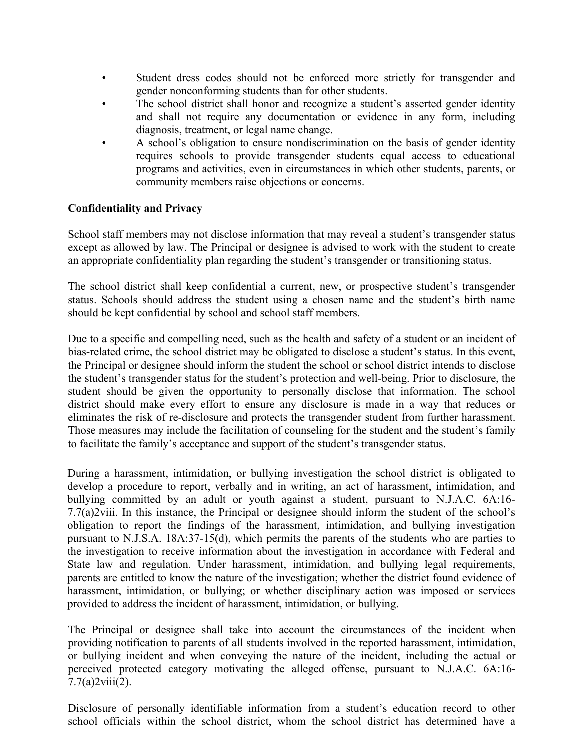- Student dress codes should not be enforced more strictly for transgender and gender nonconforming students than for other students.
- The school district shall honor and recognize a student's asserted gender identity and shall not require any documentation or evidence in any form, including diagnosis, treatment, or legal name change.
- A school's obligation to ensure nondiscrimination on the basis of gender identity requires schools to provide transgender students equal access to educational programs and activities, even in circumstances in which other students, parents, or community members raise objections or concerns.

## **Confidentiality and Privacy**

School staff members may not disclose information that may reveal a student's transgender status except as allowed by law. The Principal or designee is advised to work with the student to create an appropriate confidentiality plan regarding the student's transgender or transitioning status.

The school district shall keep confidential a current, new, or prospective student's transgender status. Schools should address the student using a chosen name and the student's birth name should be kept confidential by school and school staff members.

Due to a specific and compelling need, such as the health and safety of a student or an incident of bias-related crime, the school district may be obligated to disclose a student's status. In this event, the Principal or designee should inform the student the school or school district intends to disclose the student's transgender status for the student's protection and well-being. Prior to disclosure, the student should be given the opportunity to personally disclose that information. The school district should make every effort to ensure any disclosure is made in a way that reduces or eliminates the risk of re-disclosure and protects the transgender student from further harassment. Those measures may include the facilitation of counseling for the student and the student's family to facilitate the family's acceptance and support of the student's transgender status.

During a harassment, intimidation, or bullying investigation the school district is obligated to develop a procedure to report, verbally and in writing, an act of harassment, intimidation, and bullying committed by an adult or youth against a student, pursuant to N.J.A.C. 6A:16-7.7(a)2viii. In this instance, the Principal or designee should inform the student of the school's obligation to report the findings of the harassment, intimidation, and bullying investigation pursuant to N.J.S.A. 18A:37-15(d), which permits the parents of the students who are parties to the investigation to receive information about the investigation in accordance with Federal and State law and regulation. Under harassment, intimidation, and bullying legal requirements, parents are entitled to know the nature of the investigation; whether the district found evidence of harassment, intimidation, or bullying; or whether disciplinary action was imposed or services provided to address the incident of harassment, intimidation, or bullying.

The Principal or designee shall take into account the circumstances of the incident when providing notification to parents of all students involved in the reported harassment, intimidation, or bullying incident and when conveying the nature of the incident, including the actual or perceived protected category motivating the alleged offense, pursuant to N.J.A.C. 6A:16-  $7.7(a)2viii(2)$ .

Disclosure of personally identifiable information from a student's education record to other school officials within the school district, whom the school district has determined have a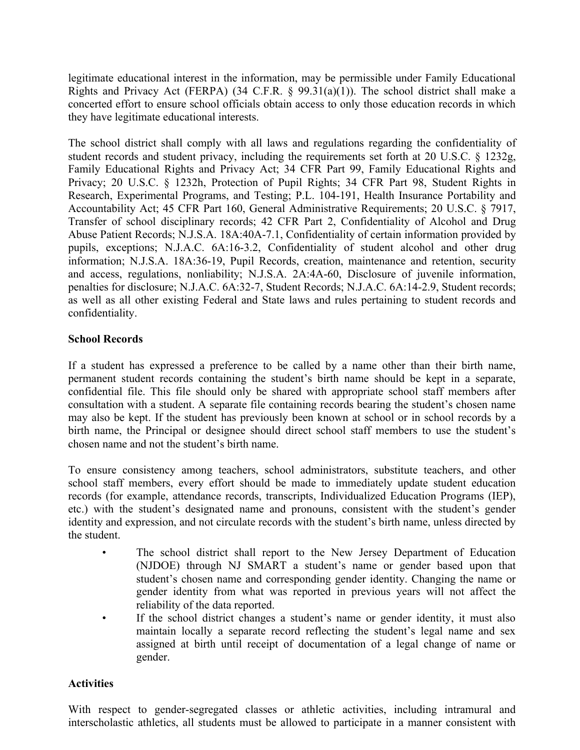legitimate educational interest in the information, may be permissible under Family Educational Rights and Privacy Act (FERPA) (34 C.F.R.  $\S$  99.31(a)(1)). The school district shall make a concerted effort to ensure school officials obtain access to only those education records in which they have legitimate educational interests.

The school district shall comply with all laws and regulations regarding the confidentiality of student records and student privacy, including the requirements set forth at 20 U.S.C. § 1232g, Family Educational Rights and Privacy Act; 34 CFR Part 99, Family Educational Rights and Privacy; 20 U.S.C. § 1232h, Protection of Pupil Rights; 34 CFR Part 98, Student Rights in Research, Experimental Programs, and Testing; P.L. 104-191, Health Insurance Portability and Accountability Act; 45 CFR Part 160, General Administrative Requirements; 20 U.S.C. § 7917, Transfer of school disciplinary records; 42 CFR Part 2, Confidentiality of Alcohol and Drug Abuse Patient Records; N.J.S.A. 18A:40A-7.1, Confidentiality of certain information provided by pupils, exceptions; N.J.A.C. 6A:16-3.2, Confidentiality of student alcohol and other drug information; N.J.S.A. 18A:36-19, Pupil Records, creation, maintenance and retention, security and access, regulations, nonliability; N.J.S.A. 2A:4A-60, Disclosure of juvenile information, penalties for disclosure; N.J.A.C. 6A:32-7, Student Records; N.J.A.C. 6A:14-2.9, Student records; as well as all other existing Federal and State laws and rules pertaining to student records and confidentiality.

### **School Records**

If a student has expressed a preference to be called by a name other than their birth name, permanent student records containing the student's birth name should be kept in a separate, confidential file. This file should only be shared with appropriate school staff members after consultation with a student. A separate file containing records bearing the student's chosen name may also be kept. If the student has previously been known at school or in school records by a birth name, the Principal or designee should direct school staff members to use the student's chosen name and not the student's birth name.

To ensure consistency among teachers, school administrators, substitute teachers, and other school staff members, every effort should be made to immediately update student education records (for example, attendance records, transcripts, Individualized Education Programs (IEP), etc.) with the student's designated name and pronouns, consistent with the student's gender identity and expression, and not circulate records with the student's birth name, unless directed by the student.

- The school district shall report to the New Jersey Department of Education (NJDOE) through NJ SMART a student's name or gender based upon that student's chosen name and corresponding gender identity. Changing the name or gender identity from what was reported in previous years will not affect the reliability of the data reported.
- If the school district changes a student's name or gender identity, it must also maintain locally a separate record reflecting the student's legal name and sex assigned at birth until receipt of documentation of a legal change of name or gender.

#### **Activities**

With respect to gender-segregated classes or athletic activities, including intramural and interscholastic athletics, all students must be allowed to participate in a manner consistent with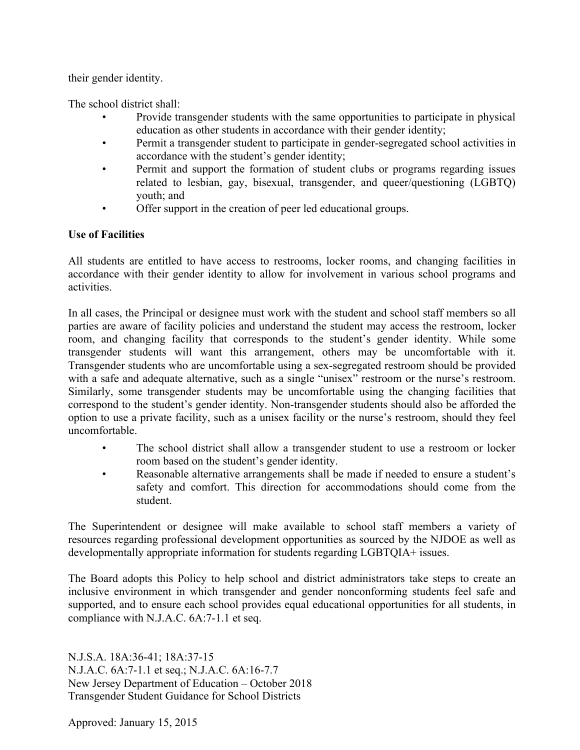their gender identity.

The school district shall:

- Provide transgender students with the same opportunities to participate in physical education as other students in accordance with their gender identity;
- Permit a transgender student to participate in gender-segregated school activities in accordance with the student's gender identity;
- Permit and support the formation of student clubs or programs regarding issues related to lesbian, gay, bisexual, transgender, and queer/questioning (LGBTQ) youth; and
- Offer support in the creation of peer led educational groups.

# **Use of Facilities**

All students are entitled to have access to restrooms, locker rooms, and changing facilities in accordance with their gender identity to allow for involvement in various school programs and activities.

In all cases, the Principal or designee must work with the student and school staff members so all parties are aware of facility policies and understand the student may access the restroom, locker room, and changing facility that corresponds to the student's gender identity. While some transgender students will want this arrangement, others may be uncomfortable with it. Transgender students who are uncomfortable using a sex-segregated restroom should be provided with a safe and adequate alternative, such as a single "unisex" restroom or the nurse's restroom. Similarly, some transgender students may be uncomfortable using the changing facilities that correspond to the student's gender identity. Non-transgender students should also be afforded the option to use a private facility, such as a unisex facility or the nurse's restroom, should they feel uncomfortable.

- The school district shall allow a transgender student to use a restroom or locker room based on the student's gender identity.
- Reasonable alternative arrangements shall be made if needed to ensure a student's safety and comfort. This direction for accommodations should come from the student.

The Superintendent or designee will make available to school staff members a variety of resources regarding professional development opportunities as sourced by the NJDOE as well as developmentally appropriate information for students regarding LGBTQIA+ issues.

The Board adopts this Policy to help school and district administrators take steps to create an inclusive environment in which transgender and gender nonconforming students feel safe and supported, and to ensure each school provides equal educational opportunities for all students, in compliance with N.J.A.C. 6A:7-1.1 et seq.

N.J.S.A. 18A:36-41; 18A:37-15 N.J.A.C. 6A:7-1.1 et seq.; N.J.A.C. 6A:16-7.7 New Jersey Department of Education – October 2018 Transgender Student Guidance for School Districts

Approved: January 15, 2015